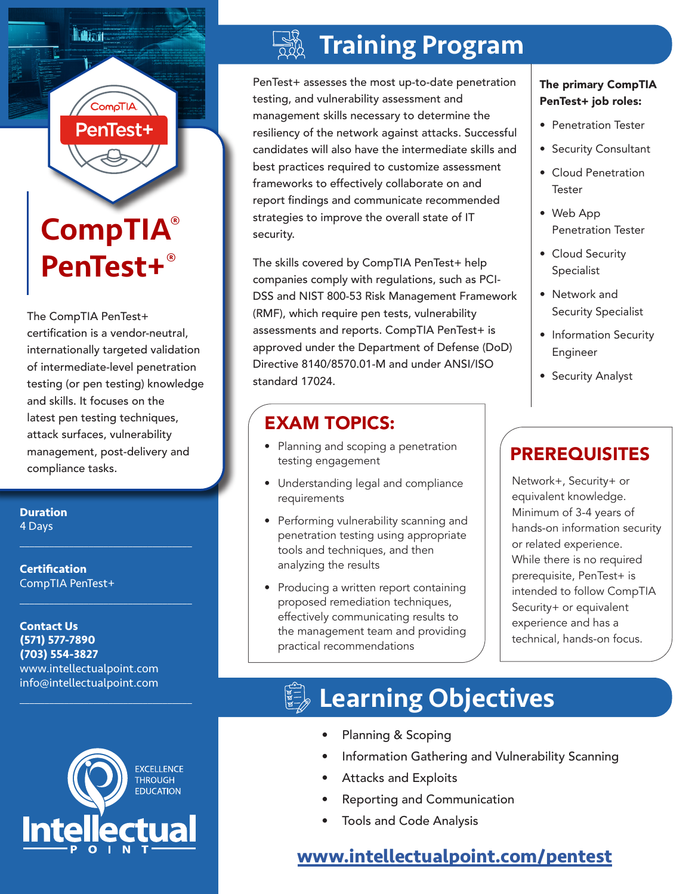# CompTIA® PenTest+®

CompTl

PenTest+

**II. Atart** 

The CompTIA PenTest+ certification is a vendor-neutral, internationally targeted validation of intermediate-level penetration testing (or pen testing) knowledge and skills. It focuses on the latest pen testing techniques, attack surfaces, vulnerability management, post-delivery and compliance tasks.

**Duration** 4 Days

**Certification** CompTIA PenTest+

**Contact Us (571) 577-7890 (703) 554-3827** www.intellectualpoint.com info@intellectualpoint.com

 $\mathcal{L}_\text{max}$  and  $\mathcal{L}_\text{max}$  and  $\mathcal{L}_\text{max}$  and  $\mathcal{L}_\text{max}$ 

 $\mathcal{L}_\text{max}$  , and the set of the set of the set of the set of the set of the set of the set of the set of the set of the set of the set of the set of the set of the set of the set of the set of the set of the set of the

 $\mathcal{L}_\text{max}$  , and the set of the set of the set of the set of the set of the set of the set of the set of the set of the set of the set of the set of the set of the set of the set of the set of the set of the set of the



# Training Program

PenTest+ assesses the most up-to-date penetration testing, and vulnerability assessment and management skills necessary to determine the resiliency of the network against attacks. Successful candidates will also have the intermediate skills and best practices required to customize assessment frameworks to effectively collaborate on and report findings and communicate recommended strategies to improve the overall state of IT security.

The skills covered by CompTIA PenTest+ help companies comply with regulations, such as PCI-DSS and NIST 800-53 Risk Management Framework (RMF), which require pen tests, vulnerability assessments and reports. CompTIA PenTest+ is approved under the Department of Defense (DoD) Directive 8140/8570.01-M and under ANSI/ISO standard 17024.

### EXAM TOPICS:

- Planning and scoping a penetration testing engagement
- Understanding legal and compliance requirements
- Performing vulnerability scanning and penetration testing using appropriate tools and techniques, and then analyzing the results
- Producing a written report containing proposed remediation techniques, effectively communicating results to the management team and providing practical recommendations

#### The primary CompTIA PenTest+ job roles:

- Penetration Tester
- Security Consultant
- Cloud Penetration **Tester**
- Web App Penetration Tester
- Cloud Security Specialist
- Network and Security Specialist
- Information Security Engineer
- Security Analyst

### **PREREQUISITES**

Network+, Security+ or equivalent knowledge. Minimum of 3-4 years of hands-on information security or related experience. While there is no required prerequisite, PenTest+ is intended to follow CompTIA Security+ or equivalent experience and has a technical, hands-on focus.

# **Learning Objectives**

- Planning & Scoping
- Information Gathering and Vulnerability Scanning
- Attacks and Exploits
- Reporting and Communication
- Tools and Code Analysis

### **[www.intellectualpoint.com/pentest](https://www.intellectualpoint.com/pentest)**